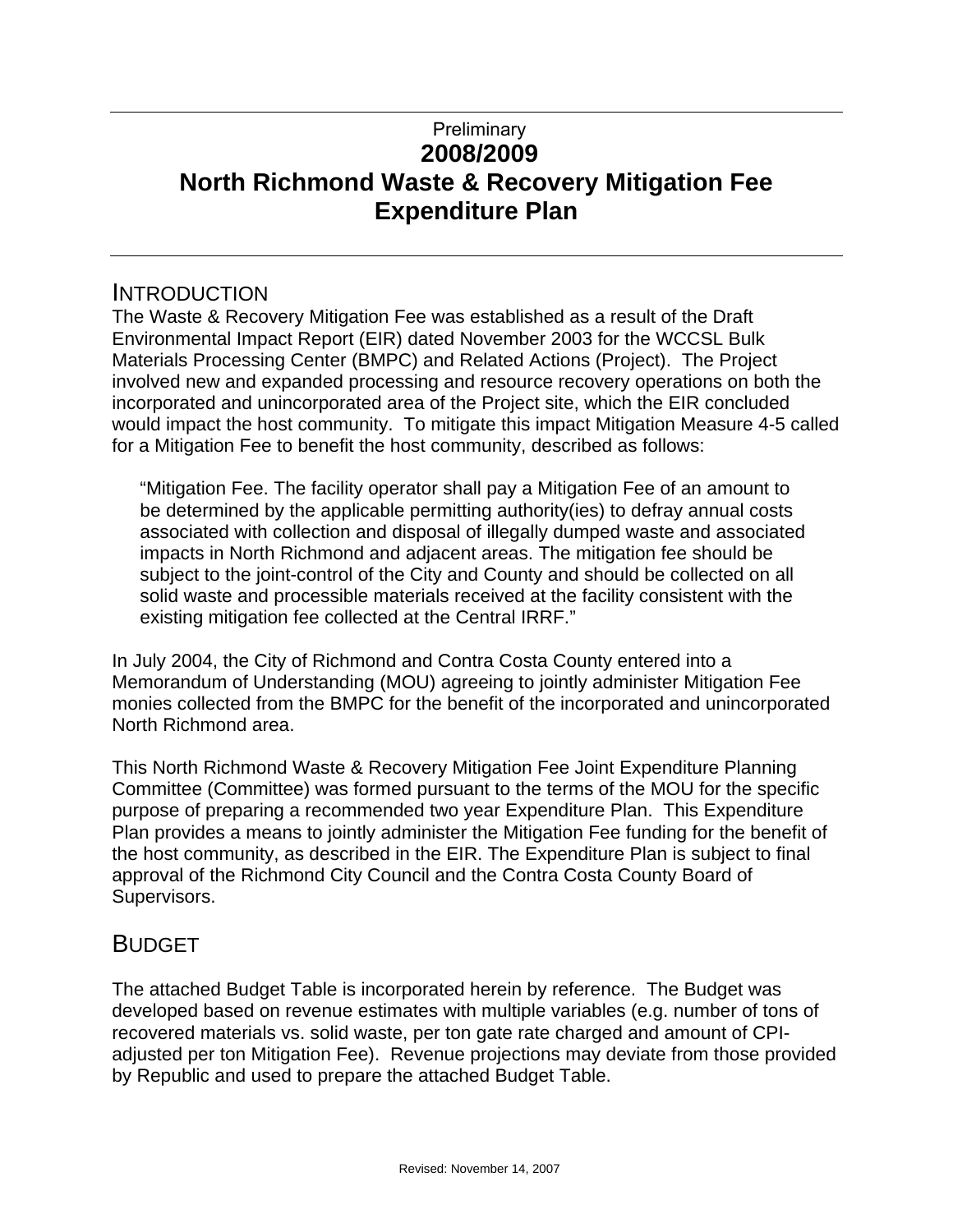# **2008/2009 North Richmond Waste & Recovery Mitigation Fee Expenditure Plan Preliminary**

# INTRODUCTION

The Waste & Recovery Mitigation Fee was established as a result of the Draft Environmental Impact Report (EIR) dated November 2003 for the WCCSL Bulk Materials Processing Center (BMPC) and Related Actions (Project). The Project involved new and expanded processing and resource recovery operations on both the incorporated and unincorporated area of the Project site, which the EIR concluded would impact the host community. To mitigate this impact Mitigation Measure 4-5 called for a Mitigation Fee to benefit the host community, described as follows:

"Mitigation Fee. The facility operator shall pay a Mitigation Fee of an amount to be determined by the applicable permitting authority(ies) to defray annual costs associated with collection and disposal of illegally dumped waste and associated impacts in North Richmond and adjacent areas. The mitigation fee should be subject to the joint-control of the City and County and should be collected on all solid waste and processible materials received at the facility consistent with the existing mitigation fee collected at the Central IRRF."

In July 2004, the City of Richmond and Contra Costa County entered into a Memorandum of Understanding (MOU) agreeing to jointly administer Mitigation Fee monies collected from the BMPC for the benefit of the incorporated and unincorporated North Richmond area.

This North Richmond Waste & Recovery Mitigation Fee Joint Expenditure Planning Committee (Committee) was formed pursuant to the terms of the MOU for the specific purpose of preparing a recommended two year Expenditure Plan. This Expenditure Plan provides a means to jointly administer the Mitigation Fee funding for the benefit of the host community, as described in the EIR. The Expenditure Plan is subject to final approval of the Richmond City Council and the Contra Costa County Board of Supervisors.

# BUDGET

The attached Budget Table is incorporated herein by reference. The Budget was developed based on revenue estimates with multiple variables (e.g. number of tons of recovered materials vs. solid waste, per ton gate rate charged and amount of CPIadjusted per ton Mitigation Fee). Revenue projections may deviate from those provided by Republic and used to prepare the attached Budget Table.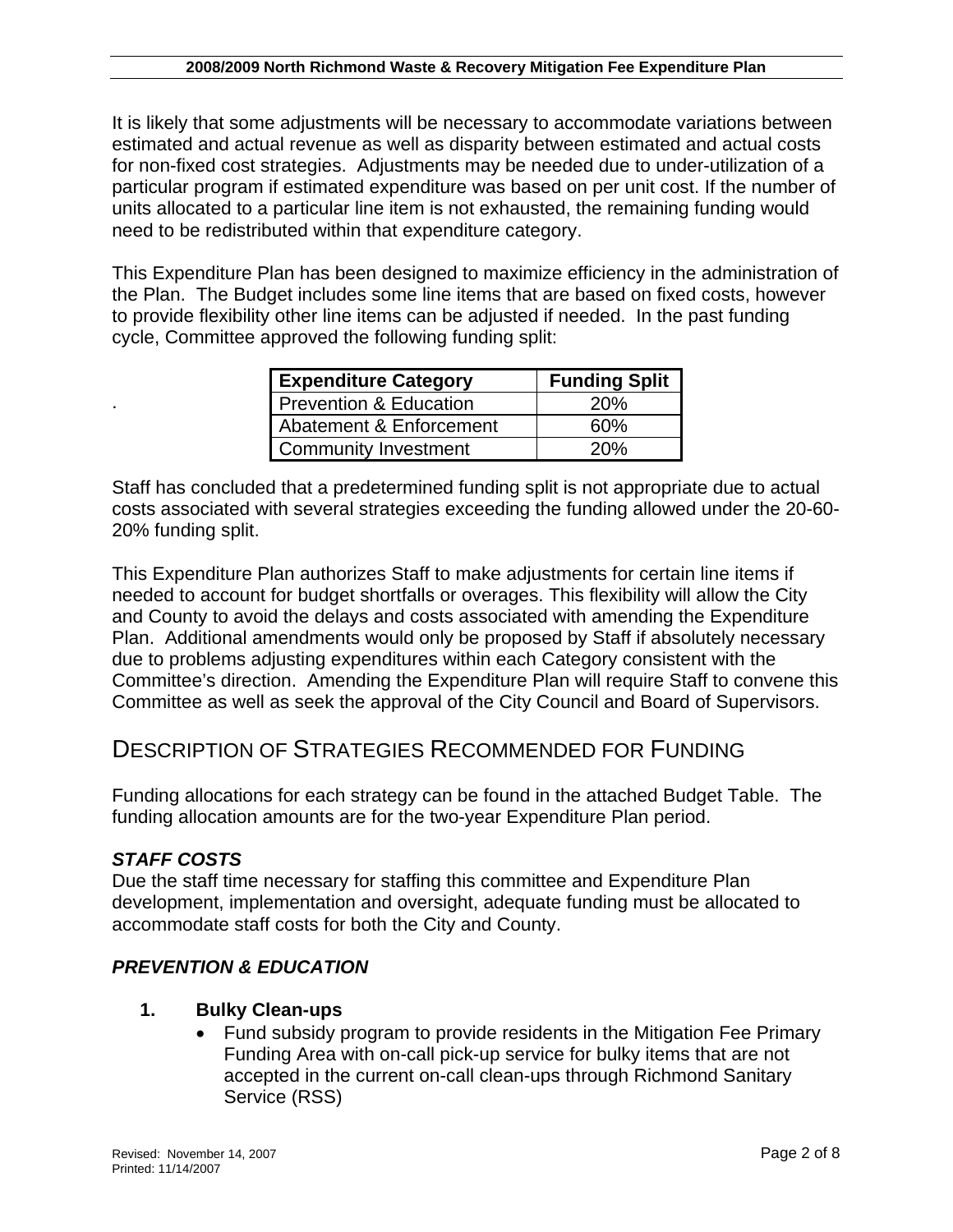It is likely that some adjustments will be necessary to accommodate variations between estimated and actual revenue as well as disparity between estimated and actual costs for non-fixed cost strategies. Adjustments may be needed due to under-utilization of a particular program if estimated expenditure was based on per unit cost. If the number of units allocated to a particular line item is not exhausted, the remaining funding would need to be redistributed within that expenditure category.

This Expenditure Plan has been designed to maximize efficiency in the administration of the Plan. The Budget includes some line items that are based on fixed costs, however to provide flexibility other line items can be adjusted if needed. In the past funding cycle, Committee approved the following funding split:

| <b>Expenditure Category</b>       | <b>Funding Split</b> |  |  |  |  |  |
|-----------------------------------|----------------------|--|--|--|--|--|
| <b>Prevention &amp; Education</b> | 20%                  |  |  |  |  |  |
| Abatement & Enforcement           | 60%                  |  |  |  |  |  |
| <b>Community Investment</b>       | 20%                  |  |  |  |  |  |

Staff has concluded that a predetermined funding split is not appropriate due to actual costs associated with several strategies exceeding the funding allowed under the 20-60- 20% funding split.

This Expenditure Plan authorizes Staff to make adjustments for certain line items if needed to account for budget shortfalls or overages. This flexibility will allow the City and County to avoid the delays and costs associated with amending the Expenditure Plan. Additional amendments would only be proposed by Staff if absolutely necessary due to problems adjusting expenditures within each Category consistent with the Committee's direction. Amending the Expenditure Plan will require Staff to convene this Committee as well as seek the approval of the City Council and Board of Supervisors.

# DESCRIPTION OF STRATEGIES RECOMMENDED FOR FUNDING

Funding allocations for each strategy can be found in the attached Budget Table. The funding allocation amounts are for the two-year Expenditure Plan period.

#### *STAFF COSTS*

.

Due the staff time necessary for staffing this committee and Expenditure Plan development, implementation and oversight, adequate funding must be allocated to accommodate staff costs for both the City and County.

# *PREVENTION & EDUCATION*

#### **1. Bulky Clean-ups**

• Fund subsidy program to provide residents in the Mitigation Fee Primary Funding Area with on-call pick-up service for bulky items that are not accepted in the current on-call clean-ups through Richmond Sanitary Service (RSS)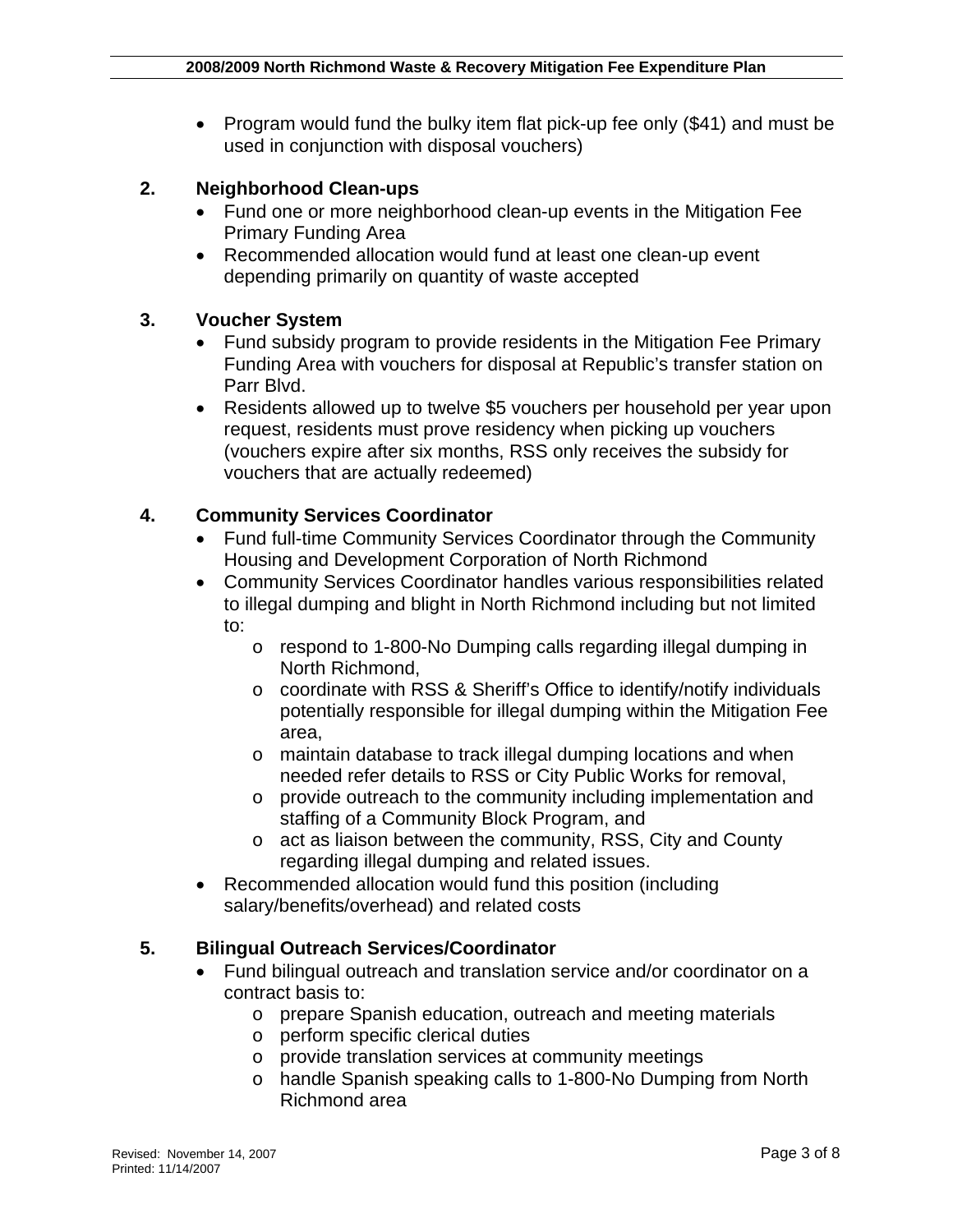• Program would fund the bulky item flat pick-up fee only (\$41) and must be used in conjunction with disposal vouchers)

#### **2. Neighborhood Clean-ups**

- Fund one or more neighborhood clean-up events in the Mitigation Fee Primary Funding Area
- Recommended allocation would fund at least one clean-up event depending primarily on quantity of waste accepted

#### **3. Voucher System**

- Fund subsidy program to provide residents in the Mitigation Fee Primary Funding Area with vouchers for disposal at Republic's transfer station on Parr Blvd.
- Residents allowed up to twelve \$5 vouchers per household per year upon request, residents must prove residency when picking up vouchers (vouchers expire after six months, RSS only receives the subsidy for vouchers that are actually redeemed)

#### **4. Community Services Coordinator**

- Fund full-time Community Services Coordinator through the Community Housing and Development Corporation of North Richmond
- Community Services Coordinator handles various responsibilities related to illegal dumping and blight in North Richmond including but not limited to:
	- o respond to 1-800-No Dumping calls regarding illegal dumping in North Richmond,
	- o coordinate with RSS & Sheriff's Office to identify/notify individuals potentially responsible for illegal dumping within the Mitigation Fee area,
	- o maintain database to track illegal dumping locations and when needed refer details to RSS or City Public Works for removal,
	- o provide outreach to the community including implementation and staffing of a Community Block Program, and
	- o act as liaison between the community, RSS, City and County regarding illegal dumping and related issues.
- Recommended allocation would fund this position (including salary/benefits/overhead) and related costs

#### **5. Bilingual Outreach Services/Coordinator**

- Fund bilingual outreach and translation service and/or coordinator on a contract basis to:
	- o prepare Spanish education, outreach and meeting materials
	- o perform specific clerical duties
	- o provide translation services at community meetings
	- o handle Spanish speaking calls to 1-800-No Dumping from North Richmond area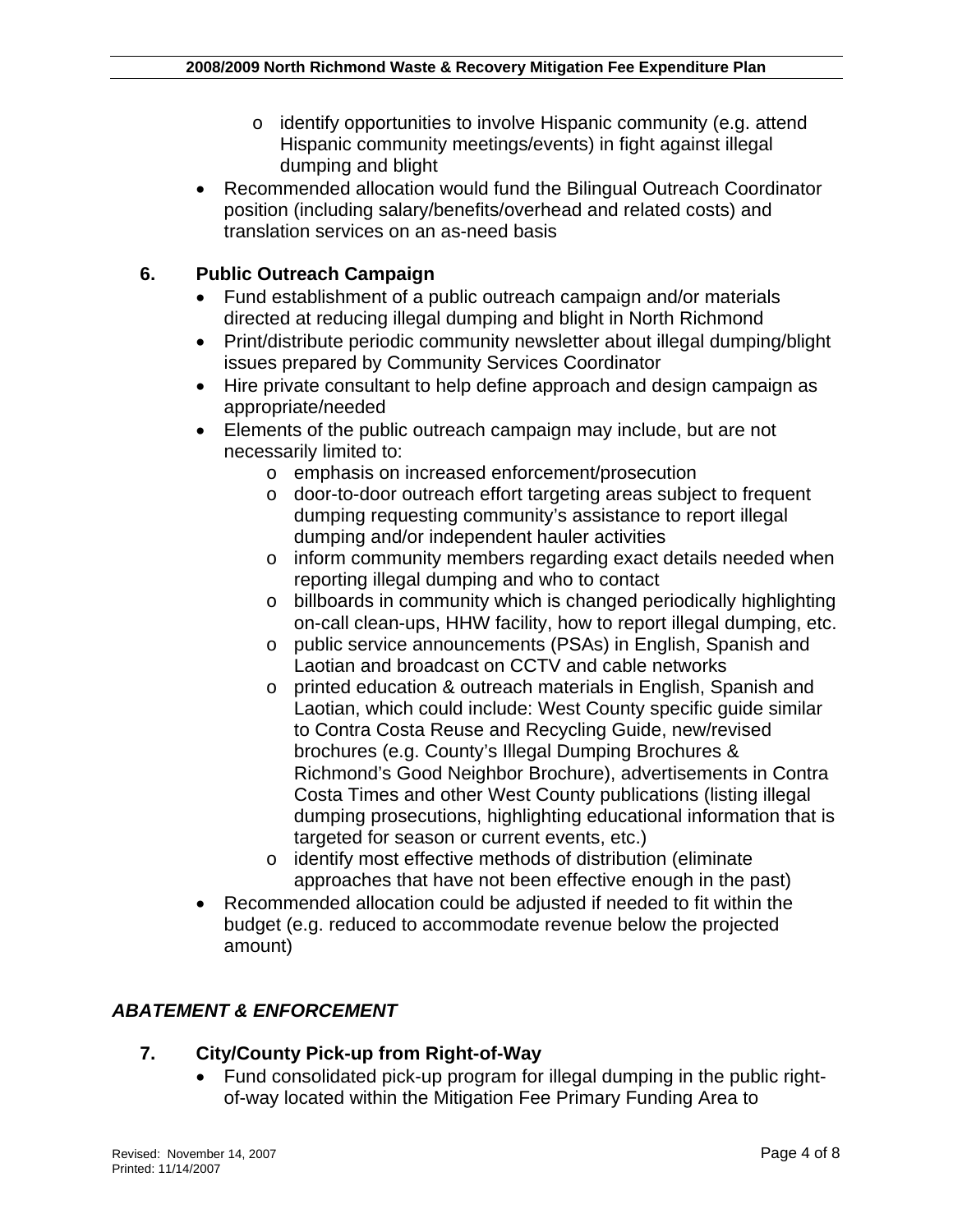- o identify opportunities to involve Hispanic community (e.g. attend Hispanic community meetings/events) in fight against illegal dumping and blight
- Recommended allocation would fund the Bilingual Outreach Coordinator position (including salary/benefits/overhead and related costs) and translation services on an as-need basis

# **6. Public Outreach Campaign**

- Fund establishment of a public outreach campaign and/or materials directed at reducing illegal dumping and blight in North Richmond
- Print/distribute periodic community newsletter about illegal dumping/blight issues prepared by Community Services Coordinator
- Hire private consultant to help define approach and design campaign as appropriate/needed
- Elements of the public outreach campaign may include, but are not necessarily limited to:
	- o emphasis on increased enforcement/prosecution
	- o door-to-door outreach effort targeting areas subject to frequent dumping requesting community's assistance to report illegal dumping and/or independent hauler activities
	- o inform community members regarding exact details needed when reporting illegal dumping and who to contact
	- o billboards in community which is changed periodically highlighting on-call clean-ups, HHW facility, how to report illegal dumping, etc.
	- o public service announcements (PSAs) in English, Spanish and Laotian and broadcast on CCTV and cable networks
	- o printed education & outreach materials in English, Spanish and Laotian, which could include: West County specific guide similar to Contra Costa Reuse and Recycling Guide, new/revised brochures (e.g. County's Illegal Dumping Brochures & Richmond's Good Neighbor Brochure), advertisements in Contra Costa Times and other West County publications (listing illegal dumping prosecutions, highlighting educational information that is targeted for season or current events, etc.)
	- o identify most effective methods of distribution (eliminate approaches that have not been effective enough in the past)
- Recommended allocation could be adjusted if needed to fit within the budget (e.g. reduced to accommodate revenue below the projected amount)

# *ABATEMENT & ENFORCEMENT*

#### **7. City/County Pick-up from Right-of-Way**

• Fund consolidated pick-up program for illegal dumping in the public rightof-way located within the Mitigation Fee Primary Funding Area to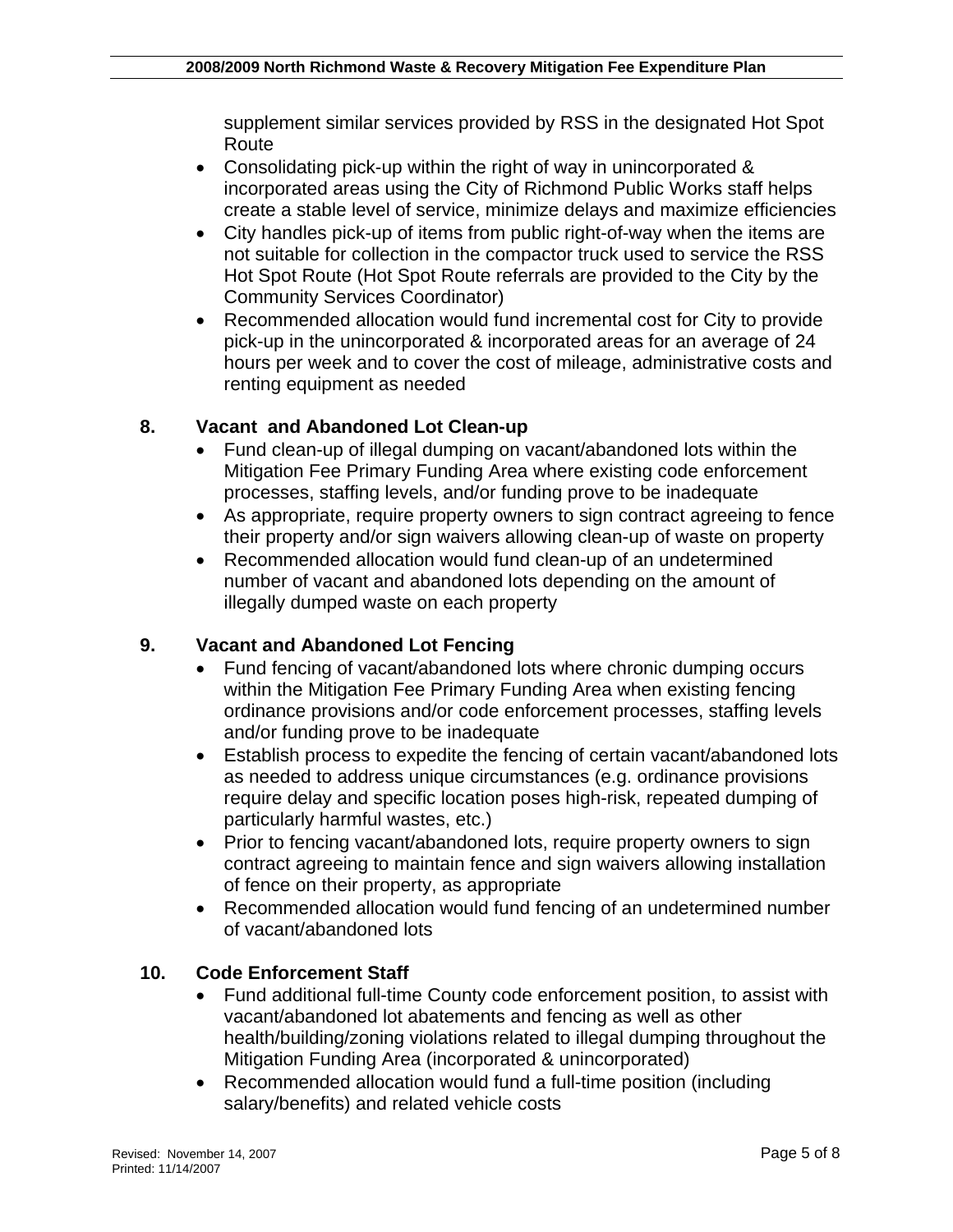supplement similar services provided by RSS in the designated Hot Spot Route

- Consolidating pick-up within the right of way in unincorporated & incorporated areas using the City of Richmond Public Works staff helps create a stable level of service, minimize delays and maximize efficiencies
- City handles pick-up of items from public right-of-way when the items are not suitable for collection in the compactor truck used to service the RSS Hot Spot Route (Hot Spot Route referrals are provided to the City by the Community Services Coordinator)
- Recommended allocation would fund incremental cost for City to provide pick-up in the unincorporated & incorporated areas for an average of 24 hours per week and to cover the cost of mileage, administrative costs and renting equipment as needed

## **8. Vacant and Abandoned Lot Clean-up**

- Fund clean-up of illegal dumping on vacant/abandoned lots within the Mitigation Fee Primary Funding Area where existing code enforcement processes, staffing levels, and/or funding prove to be inadequate
- As appropriate, require property owners to sign contract agreeing to fence their property and/or sign waivers allowing clean-up of waste on property
- Recommended allocation would fund clean-up of an undetermined number of vacant and abandoned lots depending on the amount of illegally dumped waste on each property

#### **9. Vacant and Abandoned Lot Fencing**

- Fund fencing of vacant/abandoned lots where chronic dumping occurs within the Mitigation Fee Primary Funding Area when existing fencing ordinance provisions and/or code enforcement processes, staffing levels and/or funding prove to be inadequate
- Establish process to expedite the fencing of certain vacant/abandoned lots as needed to address unique circumstances (e.g. ordinance provisions require delay and specific location poses high-risk, repeated dumping of particularly harmful wastes, etc.)
- Prior to fencing vacant/abandoned lots, require property owners to sign contract agreeing to maintain fence and sign waivers allowing installation of fence on their property, as appropriate
- Recommended allocation would fund fencing of an undetermined number of vacant/abandoned lots

#### **10. Code Enforcement Staff**

- Fund additional full-time County code enforcement position, to assist with vacant/abandoned lot abatements and fencing as well as other health/building/zoning violations related to illegal dumping throughout the Mitigation Funding Area (incorporated & unincorporated)
- Recommended allocation would fund a full-time position (including salary/benefits) and related vehicle costs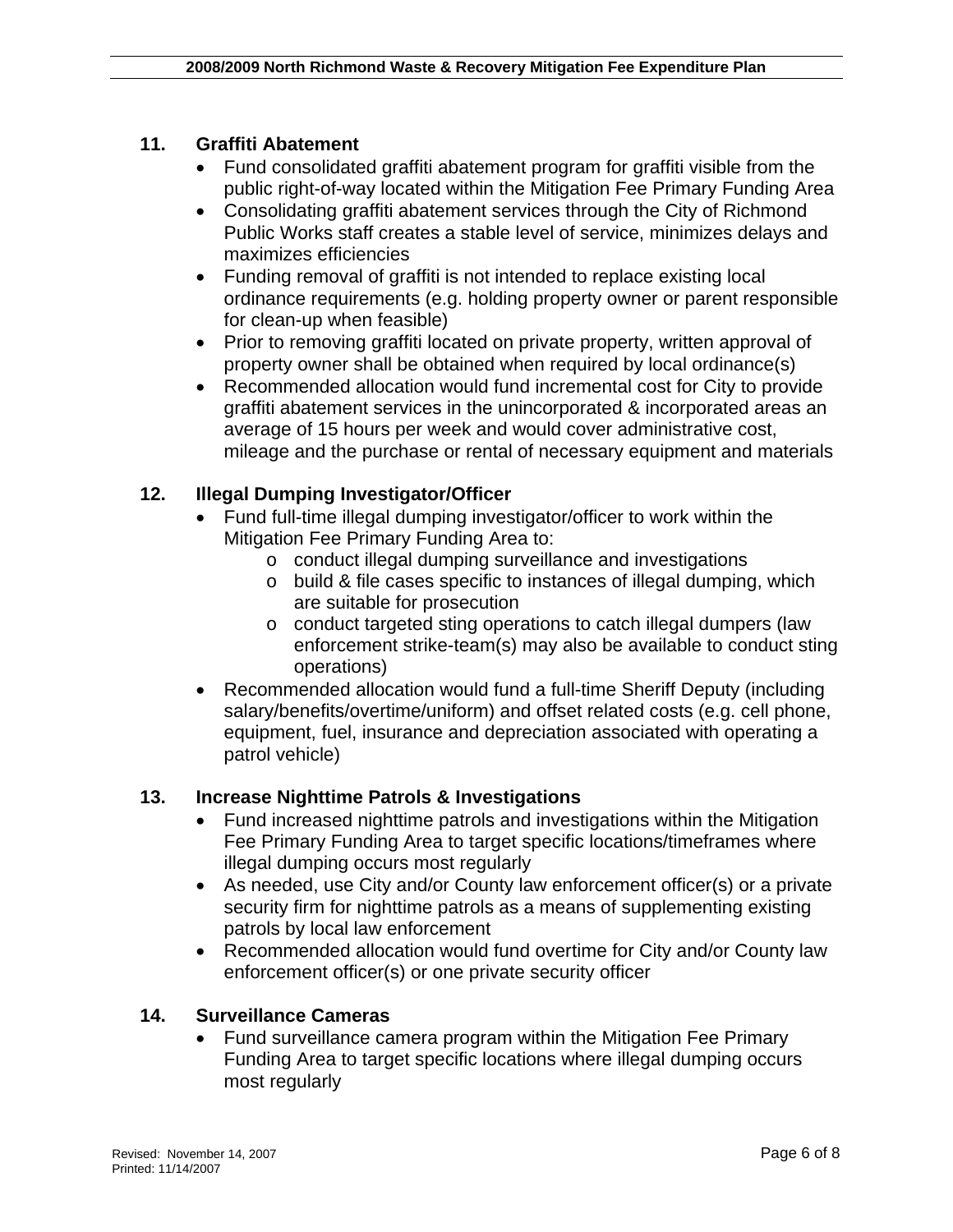### **11. Graffiti Abatement**

- Fund consolidated graffiti abatement program for graffiti visible from the public right-of-way located within the Mitigation Fee Primary Funding Area
- Consolidating graffiti abatement services through the City of Richmond Public Works staff creates a stable level of service, minimizes delays and maximizes efficiencies
- Funding removal of graffiti is not intended to replace existing local ordinance requirements (e.g. holding property owner or parent responsible for clean-up when feasible)
- Prior to removing graffiti located on private property, written approval of property owner shall be obtained when required by local ordinance(s)
- Recommended allocation would fund incremental cost for City to provide graffiti abatement services in the unincorporated & incorporated areas an average of 15 hours per week and would cover administrative cost, mileage and the purchase or rental of necessary equipment and materials

## **12. Illegal Dumping Investigator/Officer**

- Fund full-time illegal dumping investigator/officer to work within the Mitigation Fee Primary Funding Area to:
	- o conduct illegal dumping surveillance and investigations
	- o build & file cases specific to instances of illegal dumping, which are suitable for prosecution
	- o conduct targeted sting operations to catch illegal dumpers (law enforcement strike-team(s) may also be available to conduct sting operations)
- Recommended allocation would fund a full-time Sheriff Deputy (including salary/benefits/overtime/uniform) and offset related costs (e.g. cell phone, equipment, fuel, insurance and depreciation associated with operating a patrol vehicle)

#### **13. Increase Nighttime Patrols & Investigations**

- Fund increased nighttime patrols and investigations within the Mitigation Fee Primary Funding Area to target specific locations/timeframes where illegal dumping occurs most regularly
- As needed, use City and/or County law enforcement officer(s) or a private security firm for nighttime patrols as a means of supplementing existing patrols by local law enforcement
- Recommended allocation would fund overtime for City and/or County law enforcement officer(s) or one private security officer

#### **14. Surveillance Cameras**

• Fund surveillance camera program within the Mitigation Fee Primary Funding Area to target specific locations where illegal dumping occurs most regularly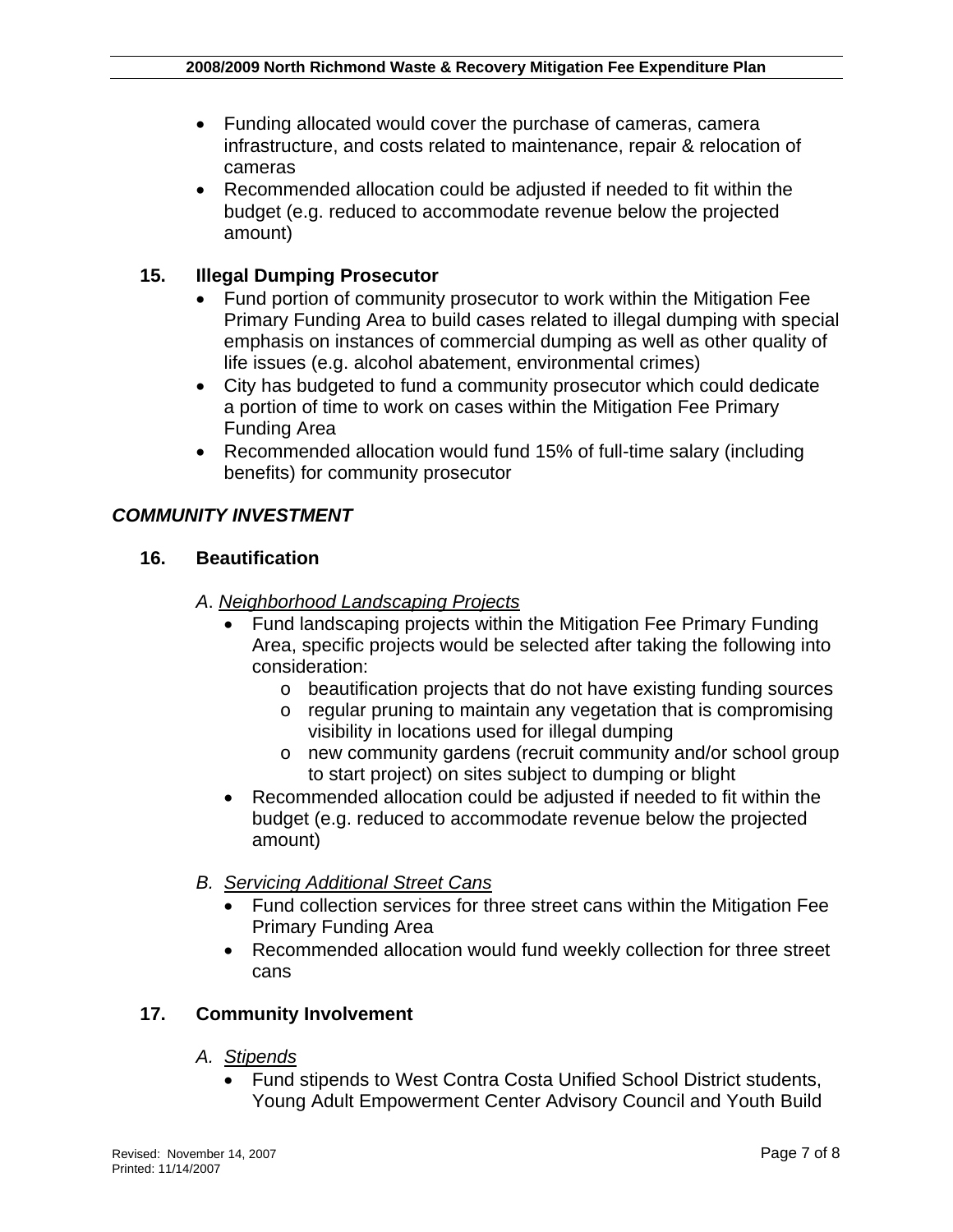- Funding allocated would cover the purchase of cameras, camera infrastructure, and costs related to maintenance, repair & relocation of cameras
- Recommended allocation could be adjusted if needed to fit within the budget (e.g. reduced to accommodate revenue below the projected amount)

## **15. Illegal Dumping Prosecutor**

- Fund portion of community prosecutor to work within the Mitigation Fee Primary Funding Area to build cases related to illegal dumping with special emphasis on instances of commercial dumping as well as other quality of life issues (e.g. alcohol abatement, environmental crimes)
- City has budgeted to fund a community prosecutor which could dedicate a portion of time to work on cases within the Mitigation Fee Primary Funding Area
- Recommended allocation would fund 15% of full-time salary (including benefits) for community prosecutor

#### *COMMUNITY INVESTMENT*

#### **16. Beautification**

#### *A*. *Neighborhood Landscaping Projects*

- Fund landscaping projects within the Mitigation Fee Primary Funding Area, specific projects would be selected after taking the following into consideration:
	- o beautification projects that do not have existing funding sources
	- o regular pruning to maintain any vegetation that is compromising visibility in locations used for illegal dumping
	- o new community gardens (recruit community and/or school group to start project) on sites subject to dumping or blight
- Recommended allocation could be adjusted if needed to fit within the budget (e.g. reduced to accommodate revenue below the projected amount)
- *B. Servicing Additional Street Cans*
	- Fund collection services for three street cans within the Mitigation Fee Primary Funding Area
	- Recommended allocation would fund weekly collection for three street cans

#### **17. Community Involvement**

#### *A. Stipends*

• Fund stipends to West Contra Costa Unified School District students, Young Adult Empowerment Center Advisory Council and Youth Build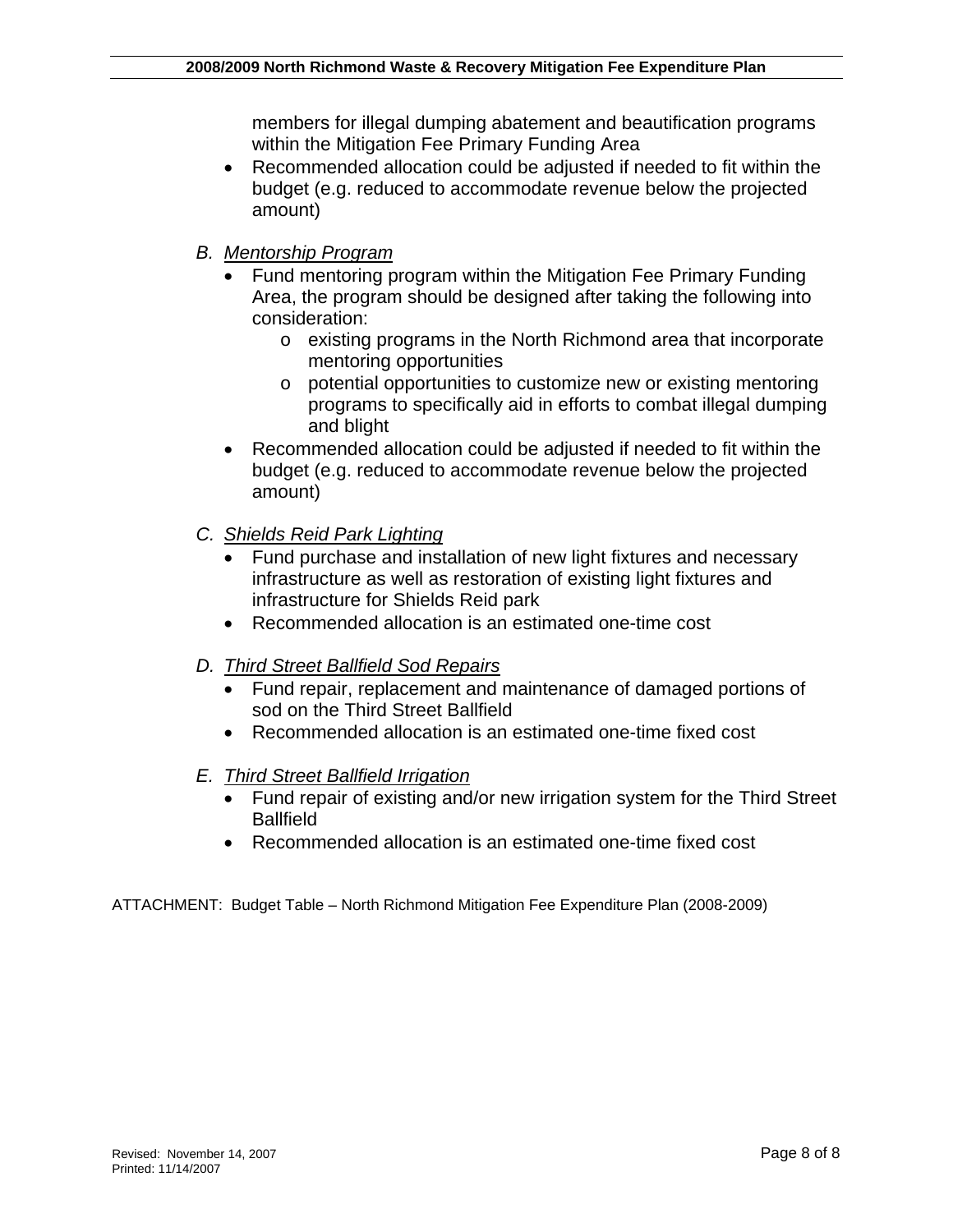members for illegal dumping abatement and beautification programs within the Mitigation Fee Primary Funding Area

- Recommended allocation could be adjusted if needed to fit within the budget (e.g. reduced to accommodate revenue below the projected amount)
- *B. Mentorship Program*
	- Fund mentoring program within the Mitigation Fee Primary Funding Area, the program should be designed after taking the following into consideration:
		- o existing programs in the North Richmond area that incorporate mentoring opportunities
		- o potential opportunities to customize new or existing mentoring programs to specifically aid in efforts to combat illegal dumping and blight
	- Recommended allocation could be adjusted if needed to fit within the budget (e.g. reduced to accommodate revenue below the projected amount)
- *C. Shields Reid Park Lighting*
	- Fund purchase and installation of new light fixtures and necessary infrastructure as well as restoration of existing light fixtures and infrastructure for Shields Reid park
	- Recommended allocation is an estimated one-time cost
- *D. Third Street Ballfield Sod Repairs*
	- Fund repair, replacement and maintenance of damaged portions of sod on the Third Street Ballfield
	- Recommended allocation is an estimated one-time fixed cost
- *E. Third Street Ballfield Irrigation*
	- Fund repair of existing and/or new irrigation system for the Third Street **Ballfield**
	- Recommended allocation is an estimated one-time fixed cost

ATTACHMENT: Budget Table – North Richmond Mitigation Fee Expenditure Plan (2008-2009)